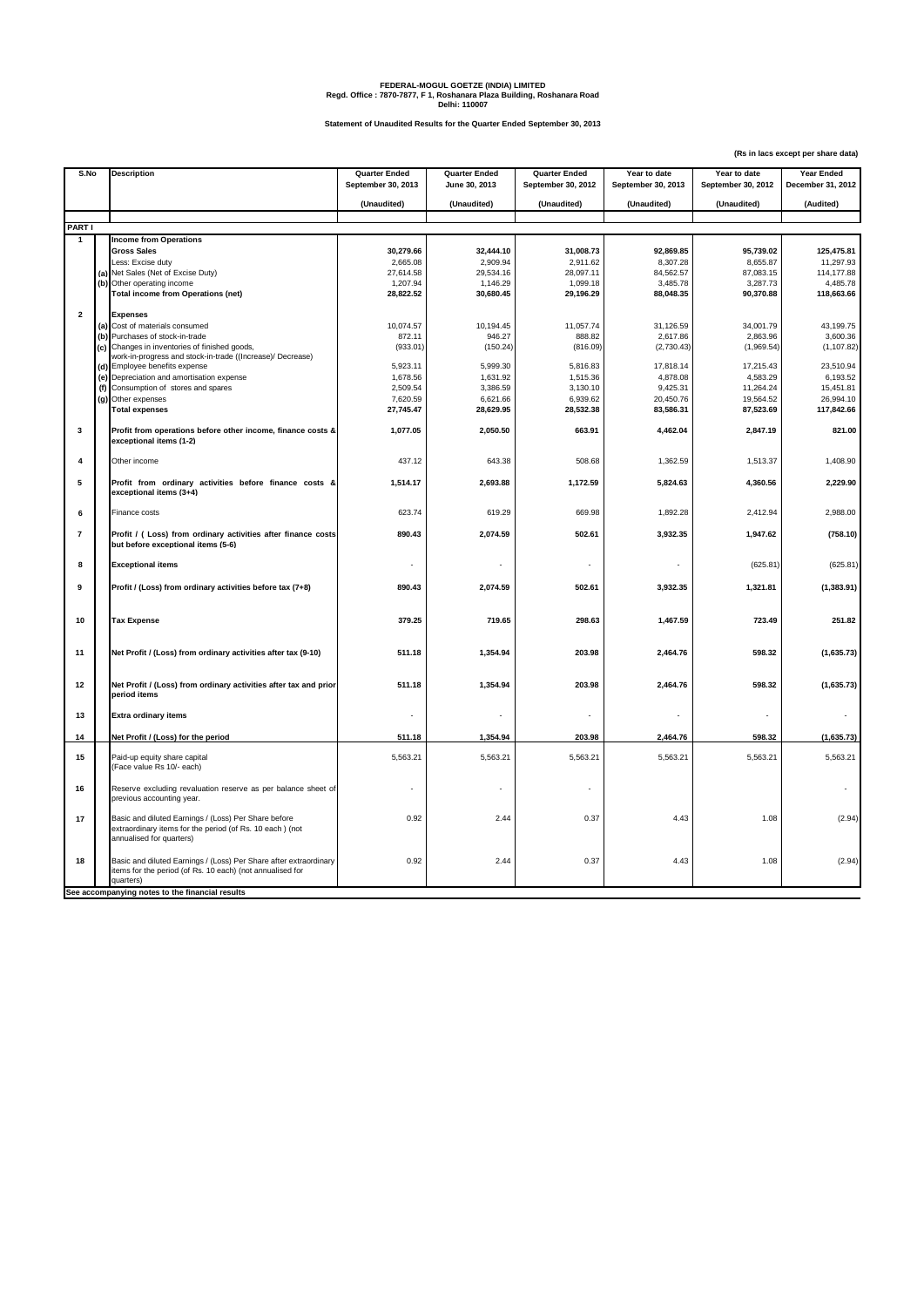## **FEDERAL-MOGUL GOETZE (INDIA) LIMITED Regd. Office : 7870-7877, F 1, Roshanara Plaza Building, Roshanara Road Delhi: 110007**

**Statement of Unaudited Results for the Quarter Ended September 30, 2013**

**(Rs in lacs except per share data)**

| S.No           |     |                                                                                                                                              |                                            |                                       |                      |                                    |                    |                                 |
|----------------|-----|----------------------------------------------------------------------------------------------------------------------------------------------|--------------------------------------------|---------------------------------------|----------------------|------------------------------------|--------------------|---------------------------------|
|                |     | <b>Description</b>                                                                                                                           | <b>Quarter Ended</b><br>September 30, 2013 | <b>Quarter Ended</b><br>June 30, 2013 | <b>Quarter Ended</b> | Year to date<br>September 30, 2013 | Year to date       | Year Ended<br>December 31, 2012 |
|                |     |                                                                                                                                              |                                            |                                       | September 30, 2012   |                                    | September 30, 2012 |                                 |
|                |     |                                                                                                                                              | (Unaudited)                                | (Unaudited)                           | (Unaudited)          | (Unaudited)                        | (Unaudited)        | (Audited)                       |
|                |     |                                                                                                                                              |                                            |                                       |                      |                                    |                    |                                 |
| PART I         |     |                                                                                                                                              |                                            |                                       |                      |                                    |                    |                                 |
| $\mathbf{1}$   |     | <b>Income from Operations</b>                                                                                                                |                                            |                                       |                      |                                    |                    |                                 |
|                |     | <b>Gross Sales</b>                                                                                                                           | 30,279.66                                  | 32,444.10                             | 31,008.73            | 92,869.85                          | 95,739.02          | 125,475.81                      |
|                |     | Less: Excise duty                                                                                                                            | 2,665.08                                   | 2.909.94                              | 2,911.62             | 8.307.28                           | 8.655.87           | 11,297.93                       |
|                |     | (a) Net Sales (Net of Excise Duty)                                                                                                           | 27,614.58                                  | 29,534.16                             | 28,097.11            | 84,562.57                          | 87,083.15          | 114,177.88                      |
|                |     | (b) Other operating income                                                                                                                   | 1,207.94                                   | 1,146.29                              | 1,099.18             | 3,485.78                           | 3,287.73           | 4,485.78                        |
|                |     | <b>Total income from Operations (net)</b>                                                                                                    | 28,822.52                                  | 30,680.45                             | 29,196.29            | 88,048.35                          | 90,370.88          | 118,663.66                      |
| $\overline{2}$ |     | <b>Expenses</b>                                                                                                                              |                                            |                                       |                      |                                    |                    |                                 |
|                | (a) | Cost of materials consumed                                                                                                                   | 10,074.57                                  | 10,194.45                             | 11,057.74            | 31,126.59                          | 34,001.79          | 43,199.75                       |
|                |     | (b) Purchases of stock-in-trade                                                                                                              | 872.11                                     | 946.27                                | 888.82               | 2,617.86                           | 2,863.96           | 3,600.36                        |
|                | (c) | Changes in inventories of finished goods,                                                                                                    | (933.01)                                   | (150.24)                              | (816.09)             | (2,730.43)                         | (1,969.54)         | (1, 107.82)                     |
|                |     | work-in-progress and stock-in-trade ((Increase)/ Decrease)                                                                                   |                                            |                                       |                      |                                    |                    |                                 |
|                |     | (d) Employee benefits expense                                                                                                                | 5,923.11                                   | 5,999.30                              | 5,816.83             | 17,818.14                          | 17,215.43          | 23,510.94                       |
|                |     | (e) Depreciation and amortisation expense                                                                                                    | 1,678.56                                   | 1,631.92                              | 1,515.36             | 4,878.08                           | 4,583.29           | 6,193.52                        |
|                |     | (f) Consumption of stores and spares                                                                                                         | 2,509.54                                   | 3,386.59                              | 3,130.10             | 9,425.31                           | 11,264.24          | 15,451.81                       |
|                |     | (g) Other expenses                                                                                                                           | 7,620.59                                   | 6,621.66                              | 6,939.62             | 20,450.76                          | 19,564.52          | 26,994.10                       |
|                |     | <b>Total expenses</b>                                                                                                                        | 27,745.47                                  | 28,629.95                             | 28,532.38            | 83,586.31                          | 87,523.69          | 117,842.66                      |
| 3              |     | Profit from operations before other income, finance costs &<br>exceptional items (1-2)                                                       | 1,077.05                                   | 2,050.50                              | 663.91               | 4,462.04                           | 2,847.19           | 821.00                          |
| 4              |     | Other income                                                                                                                                 | 437.12                                     | 643.38                                | 508.68               | 1,362.59                           | 1,513.37           | 1,408.90                        |
| 5              |     | Profit from ordinary activities before finance costs &<br>exceptional items (3+4)                                                            | 1,514.17                                   | 2,693.88                              | 1,172.59             | 5,824.63                           | 4,360.56           | 2,229.90                        |
| 6              |     | Finance costs                                                                                                                                | 623.74                                     | 619.29                                | 669.98               | 1,892.28                           | 2,412.94           | 2,988.00                        |
| $\overline{7}$ |     | Profit / (Loss) from ordinary activities after finance costs<br>but before exceptional items (5-6)                                           | 890.43                                     | 2,074.59                              | 502.61               | 3,932.35                           | 1,947.62           | (758.10)                        |
| 8              |     | <b>Exceptional items</b>                                                                                                                     |                                            |                                       |                      |                                    | (625.81)           | (625.81)                        |
| 9              |     | Profit / (Loss) from ordinary activities before tax (7+8)                                                                                    | 890.43                                     | 2.074.59                              | 502.61               | 3,932.35                           | 1,321.81           | (1,383.91)                      |
| 10             |     | <b>Tax Expense</b>                                                                                                                           | 379.25                                     | 719.65                                | 298.63               | 1,467.59                           | 723.49             | 251.82                          |
| 11             |     | Net Profit / (Loss) from ordinary activities after tax (9-10)                                                                                | 511.18                                     | 1,354.94                              | 203.98               | 2,464.76                           | 598.32             | (1,635.73)                      |
| 12             |     | Net Profit / (Loss) from ordinary activities after tax and prior<br>period items                                                             | 511.18                                     | 1,354.94                              | 203.98               | 2,464.76                           | 598.32             | (1,635.73)                      |
| 13             |     | <b>Extra ordinary items</b>                                                                                                                  |                                            |                                       |                      |                                    |                    |                                 |
| 14             |     | Net Profit / (Loss) for the period                                                                                                           | 511.18                                     | 1,354.94                              | 203.98               | 2,464.76                           | 598.32             | (1,635.73)                      |
| 15             |     | Paid-up equity share capital<br>(Face value Rs 10/- each)                                                                                    | 5,563.21                                   | 5,563.21                              | 5,563.21             | 5,563.21                           | 5,563.21           | 5,563.21                        |
| 16             |     | Reserve excluding revaluation reserve as per balance sheet of<br>previous accounting year.                                                   |                                            |                                       |                      |                                    |                    |                                 |
| 17             |     | Basic and diluted Earnings / (Loss) Per Share before<br>extraordinary items for the period (of Rs. 10 each) (not<br>annualised for quarters) | 0.92                                       | 2.44                                  | 0.37                 | 4.43                               | 1.08               | (2.94)                          |
| 18             |     | Basic and diluted Earnings / (Loss) Per Share after extraordinary<br>items for the period (of Rs. 10 each) (not annualised for<br>quarters)  | 0.92                                       | 2.44                                  | 0.37                 | 4.43                               | 1.08               | (2.94)                          |
|                |     | See accompanying notes to the financial results                                                                                              |                                            |                                       |                      |                                    |                    |                                 |